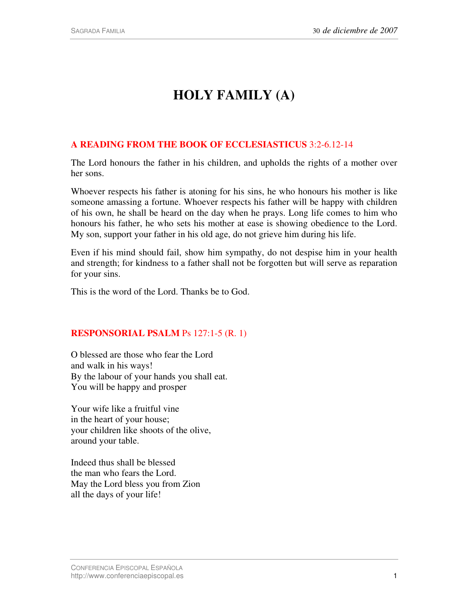# **HOLY FAMILY (A)**

## **A READING FROM THE BOOK OF ECCLESIASTICUS** 3:2-6.12-14

The Lord honours the father in his children, and upholds the rights of a mother over her sons.

Whoever respects his father is atoning for his sins, he who honours his mother is like someone amassing a fortune. Whoever respects his father will be happy with children of his own, he shall be heard on the day when he prays. Long life comes to him who honours his father, he who sets his mother at ease is showing obedience to the Lord. My son, support your father in his old age, do not grieve him during his life.

Even if his mind should fail, show him sympathy, do not despise him in your health and strength; for kindness to a father shall not be forgotten but will serve as reparation for your sins.

This is the word of the Lord. Thanks be to God.

### **RESPONSORIAL PSALM** Ps 127:1-5 (R. 1)

O blessed are those who fear the Lord and walk in his ways! By the labour of your hands you shall eat. You will be happy and prosper

Your wife like a fruitful vine in the heart of your house; your children like shoots of the olive, around your table.

Indeed thus shall be blessed the man who fears the Lord. May the Lord bless you from Zion all the days of your life!